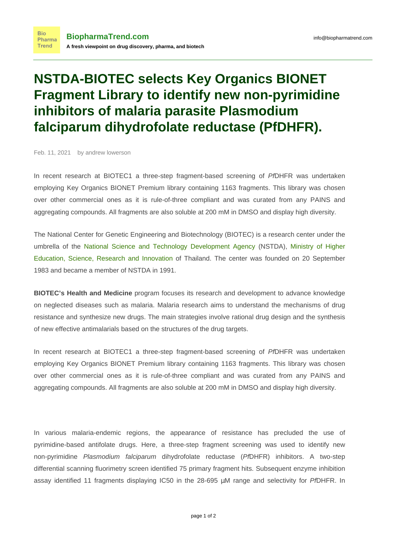## **NSTDA-BIOTEC selects Key Organics BIONET Fragment Library to identify new non-pyrimidine inhibitors of malaria parasite Plasmodium falciparum dihydrofolate reductase (PfDHFR).**

Feb. 11, 2021 by andrew lowerson

**Bio** 

In recent research at BIOTEC1 a three-step fragment-based screening of PfDHFR was undertaken employing Key Organics BIONET Premium library containing 1163 fragments. This library was chosen over other commercial ones as it is rule-of-three compliant and was curated from any PAINS and aggregating compounds. All fragments are also soluble at 200 mM in DMSO and display high diversity.

The National Center for Genetic Engineering and Biotechnology (BIOTEC) is a research center under the umbrella of the [National Science and Technology Development Agency](https://en.wikipedia.org/wiki/Thailand_National_Science_and_Technology_Development_Agency) (NSTDA), [Ministry of Higher](https://en.wikipedia.org/wiki/Ministry_of_Higher_Education,_Science,_Research_and_Innovation) [Education, Science, Research and Innovation](https://en.wikipedia.org/wiki/Ministry_of_Higher_Education,_Science,_Research_and_Innovation) of Thailand. The center was founded on 20 September 1983 and became a member of NSTDA in 1991.

**BIOTEC's Health and Medicine** program focuses its research and development to advance knowledge on neglected diseases such as malaria. Malaria research aims to understand the mechanisms of drug resistance and synthesize new drugs. The main strategies involve rational drug design and the synthesis of new effective antimalarials based on the structures of the drug targets.

In recent research at BIOTEC1 a three-step fragment-based screening of PfDHFR was undertaken employing Key Organics BIONET Premium library containing 1163 fragments. This library was chosen over other commercial ones as it is rule-of-three compliant and was curated from any PAINS and aggregating compounds. All fragments are also soluble at 200 mM in DMSO and display high diversity.

In various malaria-endemic regions, the appearance of resistance has precluded the use of pyrimidine-based antifolate drugs. Here, a three-step fragment screening was used to identify new non-pyrimidine Plasmodium falciparum dihydrofolate reductase (PfDHFR) inhibitors. A two-step differential scanning fluorimetry screen identified 75 primary fragment hits. Subsequent enzyme inhibition assay identified 11 fragments displaying IC50 in the 28-695 µM range and selectivity for PfDHFR. In